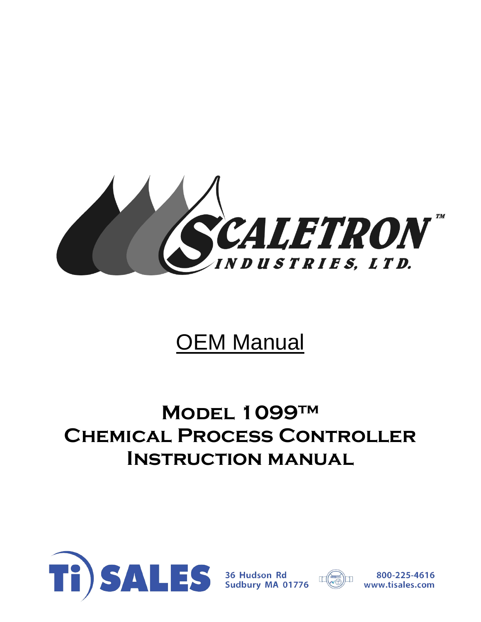

# OEM Manual

## **Model 1099™ Chemical Process Controller Instruction manual**





800-225-4616 www.tisales.com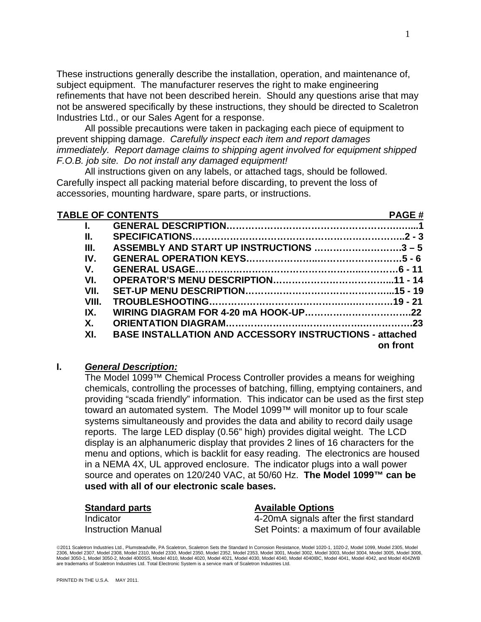These instructions generally describe the installation, operation, and maintenance of, subject equipment. The manufacturer reserves the right to make engineering refinements that have not been described herein. Should any questions arise that may not be answered specifically by these instructions, they should be directed to Scaletron Industries Ltd., or our Sales Agent for a response.

All possible precautions were taken in packaging each piece of equipment to prevent shipping damage. *Carefully inspect each item and report damages immediately. Report damage claims to shipping agent involved for equipment shipped F.O.B. job site. Do not install any damaged equipment!* 

All instructions given on any labels, or attached tags, should be followed. Carefully inspect all packing material before discarding, to prevent the loss of accessories, mounting hardware, spare parts, or instructions.

| <b>TABLE OF CONTENTS</b> |                                                                | <b>PAGE#</b> |
|--------------------------|----------------------------------------------------------------|--------------|
|                          |                                                                |              |
| Ш.                       |                                                                |              |
| III.                     | ASSEMBLY AND START UP INSTRUCTIONS 3 - 5                       |              |
| IV.                      |                                                                |              |
| V.                       |                                                                |              |
| VI.                      |                                                                |              |
| VII.                     |                                                                |              |
| VIII.                    |                                                                |              |
| IX.                      |                                                                |              |
| Χ.                       |                                                                |              |
| XI.                      | <b>BASE INSTALLATION AND ACCESSORY INSTRUCTIONS - attached</b> |              |
|                          |                                                                | on front     |

#### **I.** *General Description:*

The Model 1099™ Chemical Process Controller provides a means for weighing chemicals, controlling the processes of batching, filling, emptying containers, and providing "scada friendly" information. This indicator can be used as the first step toward an automated system. The Model 1099™ will monitor up to four scale systems simultaneously and provides the data and ability to record daily usage reports. The large LED display (0.56" high) provides digital weight. The LCD display is an alphanumeric display that provides 2 lines of 16 characters for the menu and options, which is backlit for easy reading. The electronics are housed in a NEMA 4X, UL approved enclosure. The indicator plugs into a wall power source and operates on 120/240 VAC, at 50/60 Hz. **The Model 1099™ can be used with all of our electronic scale bases.**

**Standard parts Available Options** Indicator 4-20mA signals after the first standard Instruction Manual Set Points: a maximum of four available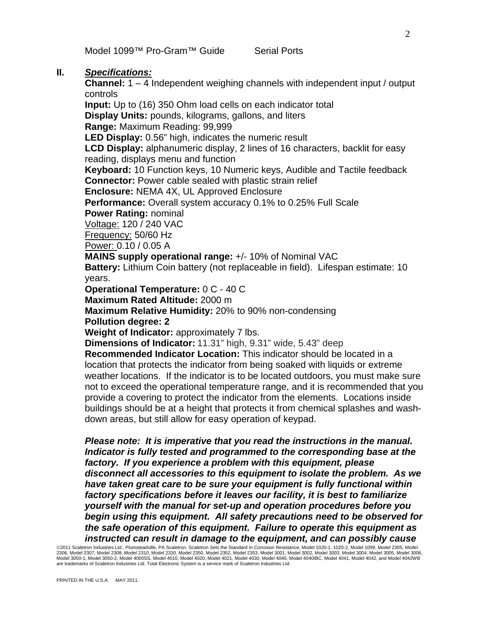Model 1099™ Pro-Gram™ Guide Serial Ports

#### **II.** *Specifications:*

**Channel:** 1 – 4 Independent weighing channels with independent input / output controls

**Input:** Up to (16) 350 Ohm load cells on each indicator total **Display Units:** pounds, kilograms, gallons, and liters **Range:** Maximum Reading: 99,999

**LED Display:** 0.56" high, indicates the numeric result

**LCD Display:** alphanumeric display, 2 lines of 16 characters, backlit for easy reading, displays menu and function

**Keyboard:** 10 Function keys, 10 Numeric keys, Audible and Tactile feedback **Connector:** Power cable sealed with plastic strain relief

**Enclosure:** NEMA 4X, UL Approved Enclosure

**Performance:** Overall system accuracy 0.1% to 0.25% Full Scale

**Power Rating:** nominal

Voltage: 120 / 240 VAC

Frequency: 50/60 Hz

Power: 0.10 / 0.05 A

**MAINS supply operational range:** +/- 10% of Nominal VAC

**Battery:** Lithium Coin battery (not replaceable in field). Lifespan estimate: 10 years.

**Operational Temperature:** 0 C - 40 C

**Maximum Rated Altitude:** 2000 m

**Maximum Relative Humidity:** 20% to 90% non-condensing

**Pollution degree: 2** 

**Weight of Indicator:** approximately 7 lbs.

**Dimensions of Indicator:** 11.31" high, 9.31" wide, 5.43" deep

**Recommended Indicator Location:** This indicator should be located in a location that protects the indicator from being soaked with liquids or extreme weather locations. If the indicator is to be located outdoors, you must make sure not to exceed the operational temperature range, and it is recommended that you provide a covering to protect the indicator from the elements. Locations inside buildings should be at a height that protects it from chemical splashes and washdown areas, but still allow for easy operation of keypad.

*Please note: It is imperative that you read the instructions in the manual. Indicator is fully tested and programmed to the corresponding base at the factory. If you experience a problem with this equipment, please disconnect all accessories to this equipment to isolate the problem. As we have taken great care to be sure your equipment is fully functional within factory specifications before it leaves our facility, it is best to familiarize yourself with the manual for set-up and operation procedures before you begin using this equipment. All safety precautions need to be observed for the safe operation of this equipment. Failure to operate this equipment as instructed can result in damage to the equipment, and can possibly cause*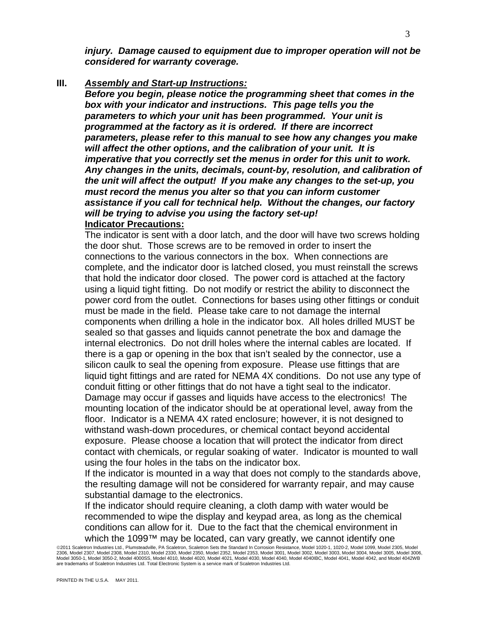*injury. Damage caused to equipment due to improper operation will not be considered for warranty coverage.* 

**III.** *Assembly and Start-up Instructions:*

*Before you begin, please notice the programming sheet that comes in the box with your indicator and instructions. This page tells you the parameters to which your unit has been programmed. Your unit is programmed at the factory as it is ordered. If there are incorrect parameters, please refer to this manual to see how any changes you make will affect the other options, and the calibration of your unit. It is imperative that you correctly set the menus in order for this unit to work. Any changes in the units, decimals, count-by, resolution, and calibration of the unit will affect the output! If you make any changes to the set-up, you must record the menus you alter so that you can inform customer assistance if you call for technical help. Without the changes, our factory will be trying to advise you using the factory set-up!* **Indicator Precautions:**

The indicator is sent with a door latch, and the door will have two screws holding the door shut. Those screws are to be removed in order to insert the connections to the various connectors in the box. When connections are complete, and the indicator door is latched closed, you must reinstall the screws that hold the indicator door closed. The power cord is attached at the factory using a liquid tight fitting. Do not modify or restrict the ability to disconnect the power cord from the outlet. Connections for bases using other fittings or conduit must be made in the field. Please take care to not damage the internal components when drilling a hole in the indicator box. All holes drilled MUST be sealed so that gasses and liquids cannot penetrate the box and damage the internal electronics. Do not drill holes where the internal cables are located. If there is a gap or opening in the box that isn't sealed by the connector, use a silicon caulk to seal the opening from exposure. Please use fittings that are liquid tight fittings and are rated for NEMA 4X conditions. Do not use any type of conduit fitting or other fittings that do not have a tight seal to the indicator. Damage may occur if gasses and liquids have access to the electronics! The mounting location of the indicator should be at operational level, away from the floor. Indicator is a NEMA 4X rated enclosure; however, it is not designed to withstand wash-down procedures, or chemical contact beyond accidental exposure. Please choose a location that will protect the indicator from direct contact with chemicals, or regular soaking of water. Indicator is mounted to wall using the four holes in the tabs on the indicator box.

If the indicator is mounted in a way that does not comply to the standards above, the resulting damage will not be considered for warranty repair, and may cause substantial damage to the electronics.

If the indicator should require cleaning, a cloth damp with water would be recommended to wipe the display and keypad area, as long as the chemical conditions can allow for it. Due to the fact that the chemical environment in which the 1099™ may be located, can vary greatly, we cannot identify one

<sup>©2011</sup> Scaletron Industries Ltd., Plumsteadville, PA Scaletron, Scaletron Sets the Standard In Corrosion Resistance, Model 1020-1, 1020-2, Model 1099, Model 2305, Model 2306, Model 2307, Model 2308, Model 2310, Model 2330, Model 2350, Model 2353, Model 2001, Model 3002, Model 3003, Model 3004, Model 3005, Model 3006, Model 3006, Model 3006,<br>Model 3050-1, Model 3050-2, Model 4000SS, Model are trademarks of Scaletron Industries Ltd. Total Electronic System is a service mark of Scaletron Industries Ltd.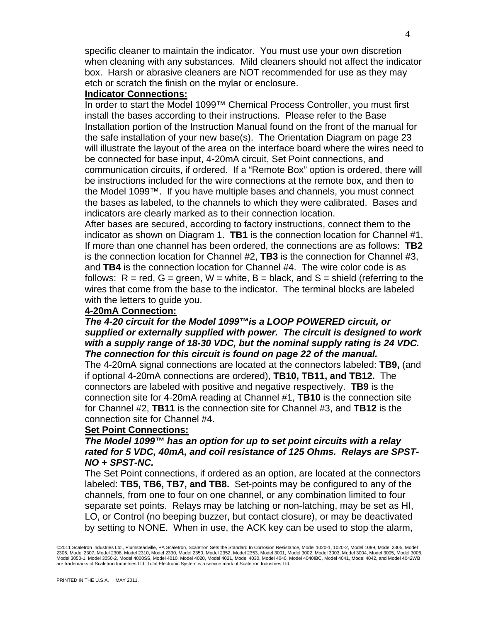specific cleaner to maintain the indicator. You must use your own discretion when cleaning with any substances. Mild cleaners should not affect the indicator box. Harsh or abrasive cleaners are NOT recommended for use as they may etch or scratch the finish on the mylar or enclosure.

#### **Indicator Connections:**

In order to start the Model 1099™ Chemical Process Controller, you must first install the bases according to their instructions. Please refer to the Base Installation portion of the Instruction Manual found on the front of the manual for the safe installation of your new base(s). The Orientation Diagram on page 23 will illustrate the layout of the area on the interface board where the wires need to be connected for base input, 4-20mA circuit, Set Point connections, and communication circuits, if ordered. If a "Remote Box" option is ordered, there will be instructions included for the wire connections at the remote box, and then to the Model 1099™. If you have multiple bases and channels, you must connect the bases as labeled, to the channels to which they were calibrated. Bases and indicators are clearly marked as to their connection location.

After bases are secured, according to factory instructions, connect them to the indicator as shown on Diagram 1. **TB1** is the connection location for Channel #1. If more than one channel has been ordered, the connections are as follows: **TB2**  is the connection location for Channel #2, **TB3** is the connection for Channel #3, and **TB4** is the connection location for Channel #4. The wire color code is as follows:  $R = red$ ,  $G = green$ ,  $W = white$ ,  $B = black$ , and  $S = shield$  (referring to the wires that come from the base to the indicator. The terminal blocks are labeled with the letters to quide you.

#### **4-20mA Connection:**

#### *The 4-20 circuit for the Model 1099™is a LOOP POWERED circuit, or supplied or externally supplied with power. The circuit is designed to work with a supply range of 18-30 VDC, but the nominal supply rating is 24 VDC. The connection for this circuit is found on page 22 of the manual.*

The 4-20mA signal connections are located at the connectors labeled: **TB9,** (and if optional 4-20mA connections are ordered), **TB10, TB11, and TB12.** The connectors are labeled with positive and negative respectively. **TB9** is the connection site for 4-20mA reading at Channel #1, **TB10** is the connection site for Channel #2, **TB11** is the connection site for Channel #3, and **TB12** is the connection site for Channel #4.

#### **Set Point Connections:**

#### *The Model 1099™ has an option for up to set point circuits with a relay rated for 5 VDC, 40mA, and coil resistance of 125 Ohms. Relays are SPST-NO + SPST-NC.*

The Set Point connections, if ordered as an option, are located at the connectors labeled: **TB5, TB6, TB7, and TB8.** Set-points may be configured to any of the channels, from one to four on one channel, or any combination limited to four separate set points. Relays may be latching or non-latching, may be set as HI, LO, or Control (no beeping buzzer, but contact closure), or may be deactivated by setting to NONE. When in use, the ACK key can be used to stop the alarm,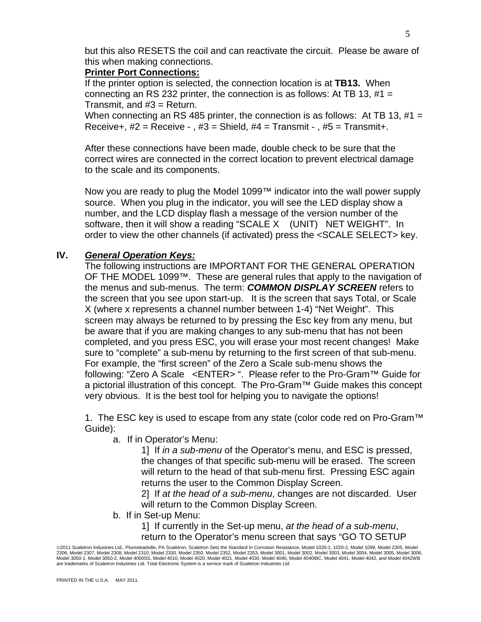but this also RESETS the coil and can reactivate the circuit. Please be aware of this when making connections.

#### **Printer Port Connections:**

If the printer option is selected, the connection location is at **TB13.** When connecting an RS 232 printer, the connection is as follows: At TB 13,  $#1 =$ Transmit, and #3 = Return.

When connecting an RS 485 printer, the connection is as follows: At TB 13,  $#1 =$ Receive+,  $#2 =$  Receive - ,  $#3 =$  Shield,  $#4 =$  Transmit - ,  $#5 =$  Transmit+.

After these connections have been made, double check to be sure that the correct wires are connected in the correct location to prevent electrical damage to the scale and its components.

Now you are ready to plug the Model 1099™ indicator into the wall power supply source. When you plug in the indicator, you will see the LED display show a number, and the LCD display flash a message of the version number of the software, then it will show a reading "SCALE X (UNIT) NET WEIGHT". In order to view the other channels (if activated) press the <SCALE SELECT> key.

#### **IV.** *General Operation Keys:*

The following instructions are IMPORTANT FOR THE GENERAL OPERATION OF THE MODEL 1099™. These are general rules that apply to the navigation of the menus and sub-menus. The term: *COMMON DISPLAY SCREEN* refers to the screen that you see upon start-up. It is the screen that says Total, or Scale X (where x represents a channel number between 1-4) "Net Weight". This screen may always be returned to by pressing the Esc key from any menu, but be aware that if you are making changes to any sub-menu that has not been completed, and you press ESC, you will erase your most recent changes! Make sure to "complete" a sub-menu by returning to the first screen of that sub-menu. For example, the "first screen" of the Zero a Scale sub-menu shows the following: "Zero A Scale <ENTER> ". Please refer to the Pro-Gram™ Guide for a pictorial illustration of this concept. The Pro-Gram™ Guide makes this concept very obvious. It is the best tool for helping you to navigate the options!

1. The ESC key is used to escape from any state (color code red on Pro-Gram™ Guide):

a. If in Operator's Menu:

1] If *in a sub-menu* of the Operator's menu, and ESC is pressed, the changes of that specific sub-menu will be erased. The screen will return to the head of that sub-menu first. Pressing ESC again returns the user to the Common Display Screen.

2] If *at the head of a sub-menu*, changes are not discarded. User will return to the Common Display Screen.

b. If in Set-up Menu:

1] If currently in the Set-up menu, *at the head of a sub-menu*, return to the Operator's menu screen that says "GO TO SETUP

<sup>©2011</sup> Scaletron Industries Ltd., Plumsteadville, PA Scaletron, Scaletron Sets the Standard In Corrosion Resistance, Model 1020-1, 1020-2, Model 1099, Model 2305, Model 2306, Model 2307, Model 2308, Model 2310, Model 2330, Model 2350, Model 2353, Model 2001, Model 3002, Model 3003, Model 3004, Model 3005, Model 3006, Model 3006, Model 3006,<br>Model 3050-1, Model 3050-2, Model 4000SS, Model are trademarks of Scaletron Industries Ltd. Total Electronic System is a service mark of Scaletron Industries Ltd.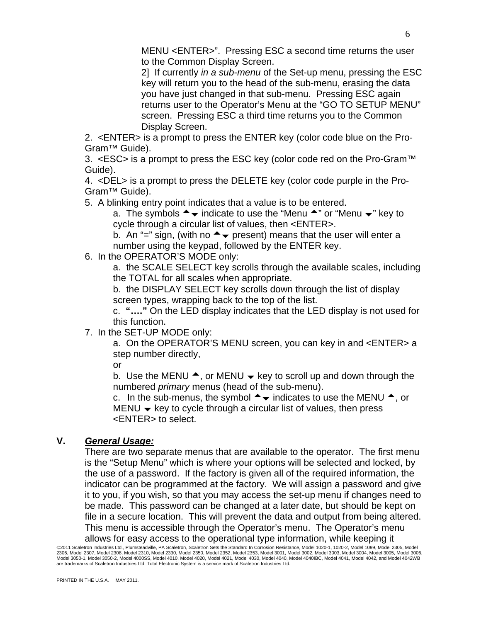MENU <ENTER>". Pressing ESC a second time returns the user to the Common Display Screen.

2] If currently *in a sub-menu* of the Set-up menu, pressing the ESC key will return you to the head of the sub-menu, erasing the data you have just changed in that sub-menu. Pressing ESC again returns user to the Operator's Menu at the "GO TO SETUP MENU" screen. Pressing ESC a third time returns you to the Common Display Screen.

2. <ENTER> is a prompt to press the ENTER key (color code blue on the Pro-Gram™ Guide).

3. <ESC> is a prompt to press the ESC key (color code red on the Pro-Gram<sup>TM</sup> Guide).

4. <DEL> is a prompt to press the DELETE key (color code purple in the Pro-Gram™ Guide).

5. A blinking entry point indicates that a value is to be entered.

a. The symbols  $\rightarrow \bullet$  indicate to use the "Menu  $\rightarrow$ " or "Menu  $\rightarrow$ " key to cycle through a circular list of values, then <ENTER>.

b. An "=" sign, (with no  $\rightarrow \bullet$  present) means that the user will enter a number using the keypad, followed by the ENTER key.

6. In the OPERATOR'S MODE only:

a. the SCALE SELECT key scrolls through the available scales, including the TOTAL for all scales when appropriate.

b. the DISPLAY SELECT key scrolls down through the list of display screen types, wrapping back to the top of the list.

c. **"…."** On the LED display indicates that the LED display is not used for this function.

7. In the SET-UP MODE only:

a. On the OPERATOR'S MENU screen, you can key in and <ENTER> a step number directly,

or

b. Use the MENU  $\triangle$ , or MENU  $\blacktriangleright$  key to scroll up and down through the numbered *primary* menus (head of the sub-menu).

c. In the sub-menus, the symbol  $\rightarrow \bullet$  indicates to use the MENU  $\rightarrow$ , or  $MENU \rightarrow \text{key}$  to cycle through a circular list of values, then press <ENTER> to select.

#### **V.** *General Usage:*

There are two separate menus that are available to the operator. The first menu is the "Setup Menu" which is where your options will be selected and locked, by the use of a password. If the factory is given all of the required information, the indicator can be programmed at the factory. We will assign a password and give it to you, if you wish, so that you may access the set-up menu if changes need to be made. This password can be changed at a later date, but should be kept on file in a secure location. This will prevent the data and output from being altered. This menu is accessible through the Operator's menu. The Operator's menu allows for easy access to the operational type information, while keeping it

<sup>©</sup>2011 Scaletron Industries Ltd., Plumsteadville, PA Scaletron, Scaletron Sets the Standard In Corrosion Resistance, Model 1020-1, 1020-2, Model 1099, Model 2305, Model 2306, Model 2307, Model 2308, Model 2310, Model 2330, Model 2350, Model 2353, Model 2001, Model 3002, Model 3003, Model 3004, Model 3005, Model 3006, Model 3006, Model 3006,<br>Model 3050-1, Model 3050-2, Model 4000SS, Model are trademarks of Scaletron Industries Ltd. Total Electronic System is a service mark of Scaletron Industries Ltd.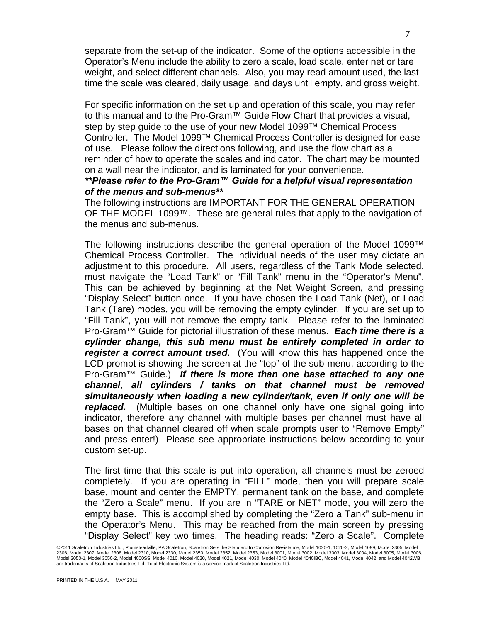separate from the set-up of the indicator. Some of the options accessible in the Operator's Menu include the ability to zero a scale, load scale, enter net or tare weight, and select different channels. Also, you may read amount used, the last time the scale was cleared, daily usage, and days until empty, and gross weight.

For specific information on the set up and operation of this scale, you may refer to this manual and to the Pro-Gram™ Guide Flow Chart that provides a visual, step by step guide to the use of your new Model 1099™ Chemical Process Controller. The Model 1099™ Chemical Process Controller is designed for ease of use. Please follow the directions following, and use the flow chart as a reminder of how to operate the scales and indicator. The chart may be mounted on a wall near the indicator, and is laminated for your convenience.

#### *\*\*Please refer to the Pro-Gram™ Guide for a helpful visual representation of the menus and sub-menus\*\**

The following instructions are IMPORTANT FOR THE GENERAL OPERATION OF THE MODEL 1099™. These are general rules that apply to the navigation of the menus and sub-menus.

The following instructions describe the general operation of the Model 1099™ Chemical Process Controller. The individual needs of the user may dictate an adjustment to this procedure. All users, regardless of the Tank Mode selected, must navigate the "Load Tank" or "Fill Tank" menu in the "Operator's Menu". This can be achieved by beginning at the Net Weight Screen, and pressing "Display Select" button once. If you have chosen the Load Tank (Net), or Load Tank (Tare) modes, you will be removing the empty cylinder. If you are set up to "Fill Tank", you will not remove the empty tank. Please refer to the laminated Pro-Gram™ Guide for pictorial illustration of these menus. *Each time there is a cylinder change, this sub menu must be entirely completed in order to register a correct amount used.* (You will know this has happened once the LCD prompt is showing the screen at the "top" of the sub-menu, according to the Pro-Gram™ Guide.) *If there is more than one base attached to any one channel*, *all cylinders / tanks on that channel must be removed simultaneously when loading a new cylinder/tank, even if only one will be replaced.* (Multiple bases on one channel only have one signal going into indicator, therefore any channel with multiple bases per channel must have all bases on that channel cleared off when scale prompts user to "Remove Empty" and press enter!) Please see appropriate instructions below according to your custom set-up.

The first time that this scale is put into operation, all channels must be zeroed completely. If you are operating in "FILL" mode, then you will prepare scale base, mount and center the EMPTY, permanent tank on the base, and complete the "Zero a Scale" menu. If you are in "TARE or NET" mode, you will zero the empty base. This is accomplished by completing the "Zero a Tank" sub-menu in the Operator's Menu. This may be reached from the main screen by pressing "Display Select" key two times. The heading reads: "Zero a Scale". Complete

<sup>©2011</sup> Scaletron Industries Ltd., Plumsteadville, PA Scaletron, Scaletron Sets the Standard In Corrosion Resistance, Model 1020-1, 1020-2, Model 1099, Model 2305, Model 2306, Model 2307, Model 2308, Model 2310, Model 2330, Model 2350, Model 2353, Model 2001, Model 3002, Model 3003, Model 3004, Model 3005, Model 3006, Model 3006, Model 3006,<br>Model 3050-1, Model 3050-2, Model 4000SS, Model are trademarks of Scaletron Industries Ltd. Total Electronic System is a service mark of Scaletron Industries Ltd.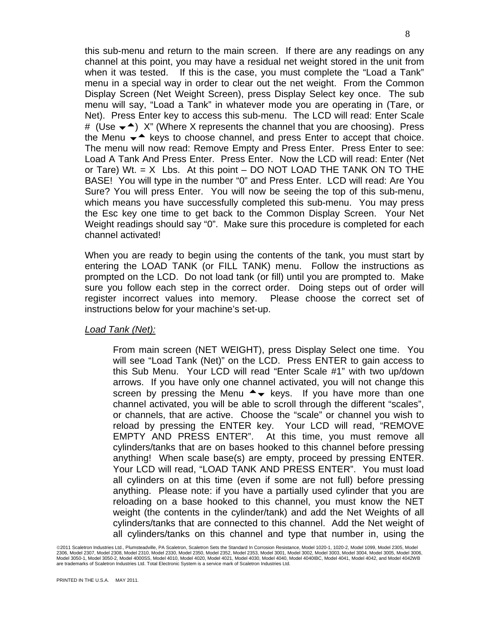this sub-menu and return to the main screen. If there are any readings on any channel at this point, you may have a residual net weight stored in the unit from when it was tested. If this is the case, you must complete the "Load a Tank" menu in a special way in order to clear out the net weight. From the Common Display Screen (Net Weight Screen), press Display Select key once. The sub menu will say, "Load a Tank" in whatever mode you are operating in (Tare, or Net). Press Enter key to access this sub-menu. The LCD will read: Enter Scale # (Use  $\blacktriangleright$   $\blacktriangle$ ) X" (Where X represents the channel that you are choosing). Press the Menu  $\blacktriangleright$  keys to choose channel, and press Enter to accept that choice. The menu will now read: Remove Empty and Press Enter. Press Enter to see: Load A Tank And Press Enter. Press Enter. Now the LCD will read: Enter (Net or Tare) Wt.  $= X$  Lbs. At this point  $-$  DO NOT LOAD THE TANK ON TO THE BASE! You will type in the number "0" and Press Enter. LCD will read: Are You Sure? You will press Enter. You will now be seeing the top of this sub-menu, which means you have successfully completed this sub-menu. You may press the Esc key one time to get back to the Common Display Screen. Your Net Weight readings should say "0". Make sure this procedure is completed for each channel activated!

When you are ready to begin using the contents of the tank, you must start by entering the LOAD TANK (or FILL TANK) menu. Follow the instructions as prompted on the LCD. Do not load tank (or fill) until you are prompted to. Make sure you follow each step in the correct order. Doing steps out of order will register incorrect values into memory. Please choose the correct set of instructions below for your machine's set-up.

#### *Load Tank (Net):*

From main screen (NET WEIGHT), press Display Select one time. You will see "Load Tank (Net)" on the LCD. Press ENTER to gain access to this Sub Menu. Your LCD will read "Enter Scale #1" with two up/down arrows. If you have only one channel activated, you will not change this screen by pressing the Menu  $\rightarrow \bullet$  keys. If you have more than one channel activated, you will be able to scroll through the different "scales", or channels, that are active. Choose the "scale" or channel you wish to reload by pressing the ENTER key. Your LCD will read, "REMOVE EMPTY AND PRESS ENTER". At this time, you must remove all cylinders/tanks that are on bases hooked to this channel before pressing anything! When scale base(s) are empty, proceed by pressing ENTER. Your LCD will read, "LOAD TANK AND PRESS ENTER". You must load all cylinders on at this time (even if some are not full) before pressing anything. Please note: if you have a partially used cylinder that you are reloading on a base hooked to this channel, you must know the NET weight (the contents in the cylinder/tank) and add the Net Weights of all cylinders/tanks that are connected to this channel. Add the Net weight of all cylinders/tanks on this channel and type that number in, using the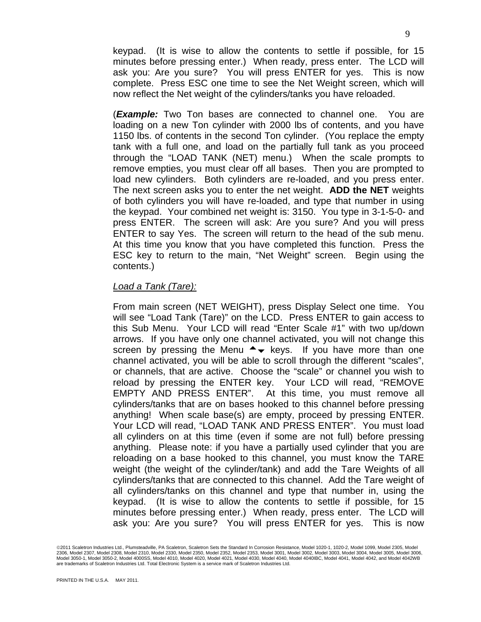keypad. (It is wise to allow the contents to settle if possible, for 15 minutes before pressing enter.) When ready, press enter. The LCD will ask you: Are you sure? You will press ENTER for yes. This is now complete. Press ESC one time to see the Net Weight screen, which will now reflect the Net weight of the cylinders/tanks you have reloaded.

(*Example:* Two Ton bases are connected to channel one. You are loading on a new Ton cylinder with 2000 lbs of contents, and you have 1150 lbs. of contents in the second Ton cylinder. (You replace the empty tank with a full one, and load on the partially full tank as you proceed through the "LOAD TANK (NET) menu.) When the scale prompts to remove empties, you must clear off all bases. Then you are prompted to load new cylinders. Both cylinders are re-loaded, and you press enter. The next screen asks you to enter the net weight. **ADD the NET** weights of both cylinders you will have re-loaded, and type that number in using the keypad. Your combined net weight is: 3150. You type in 3-1-5-0- and press ENTER. The screen will ask: Are you sure? And you will press ENTER to say Yes. The screen will return to the head of the sub menu. At this time you know that you have completed this function. Press the ESC key to return to the main, "Net Weight" screen. Begin using the contents.)

#### *Load a Tank (Tare):*

From main screen (NET WEIGHT), press Display Select one time. You will see "Load Tank (Tare)" on the LCD. Press ENTER to gain access to this Sub Menu. Your LCD will read "Enter Scale #1" with two up/down arrows. If you have only one channel activated, you will not change this screen by pressing the Menu  $\rightarrow \bullet$  keys. If you have more than one channel activated, you will be able to scroll through the different "scales", or channels, that are active. Choose the "scale" or channel you wish to reload by pressing the ENTER key. Your LCD will read, "REMOVE EMPTY AND PRESS ENTER". At this time, you must remove all cylinders/tanks that are on bases hooked to this channel before pressing anything! When scale base(s) are empty, proceed by pressing ENTER. Your LCD will read, "LOAD TANK AND PRESS ENTER". You must load all cylinders on at this time (even if some are not full) before pressing anything. Please note: if you have a partially used cylinder that you are reloading on a base hooked to this channel, you must know the TARE weight (the weight of the cylinder/tank) and add the Tare Weights of all cylinders/tanks that are connected to this channel. Add the Tare weight of all cylinders/tanks on this channel and type that number in, using the keypad. (It is wise to allow the contents to settle if possible, for 15 minutes before pressing enter.) When ready, press enter. The LCD will ask you: Are you sure? You will press ENTER for yes. This is now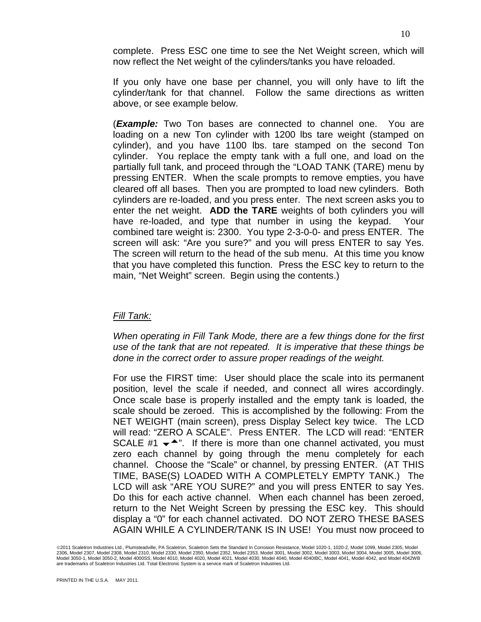complete. Press ESC one time to see the Net Weight screen, which will now reflect the Net weight of the cylinders/tanks you have reloaded.

If you only have one base per channel, you will only have to lift the cylinder/tank for that channel. Follow the same directions as written above, or see example below.

(*Example:* Two Ton bases are connected to channel one. You are loading on a new Ton cylinder with 1200 lbs tare weight (stamped on cylinder), and you have 1100 lbs. tare stamped on the second Ton cylinder. You replace the empty tank with a full one, and load on the partially full tank, and proceed through the "LOAD TANK (TARE) menu by pressing ENTER. When the scale prompts to remove empties, you have cleared off all bases. Then you are prompted to load new cylinders. Both cylinders are re-loaded, and you press enter. The next screen asks you to enter the net weight. **ADD the TARE** weights of both cylinders you will have re-loaded, and type that number in using the keypad. Your combined tare weight is: 2300. You type 2-3-0-0- and press ENTER. The screen will ask: "Are you sure?" and you will press ENTER to say Yes. The screen will return to the head of the sub menu. At this time you know that you have completed this function. Press the ESC key to return to the main, "Net Weight" screen. Begin using the contents.)

#### *Fill Tank:*

*When operating in Fill Tank Mode, there are a few things done for the first use of the tank that are not repeated. It is imperative that these things be done in the correct order to assure proper readings of the weight.* 

For use the FIRST time: User should place the scale into its permanent position, level the scale if needed, and connect all wires accordingly. Once scale base is properly installed and the empty tank is loaded, the scale should be zeroed. This is accomplished by the following: From the NET WEIGHT (main screen), press Display Select key twice. The LCD will read: "ZERO A SCALE". Press ENTER. The LCD will read: "ENTER SCALE #1  $\blacktriangleright$ <sup> $\blacktriangle$ </sup>". If there is more than one channel activated, you must zero each channel by going through the menu completely for each channel. Choose the "Scale" or channel, by pressing ENTER. (AT THIS TIME, BASE(S) LOADED WITH A COMPLETELY EMPTY TANK.) The LCD will ask "ARE YOU SURE?" and you will press ENTER to say Yes. Do this for each active channel. When each channel has been zeroed, return to the Net Weight Screen by pressing the ESC key. This should display a "0" for each channel activated. DO NOT ZERO THESE BASES AGAIN WHILE A CYLINDER/TANK IS IN USE! You must now proceed to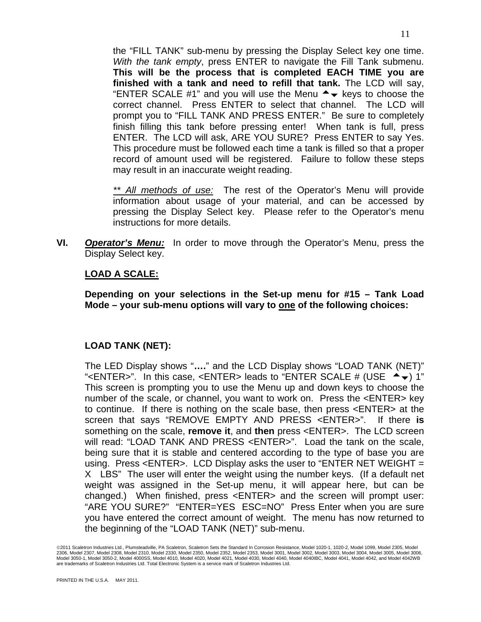the "FILL TANK" sub-menu by pressing the Display Select key one time. *With the tank empty*, press ENTER to navigate the Fill Tank submenu. **This will be the process that is completed EACH TIME you are finished with a tank and need to refill that tank.** The LCD will say, "ENTER SCALE #1" and you will use the Menu  $\rightarrow \bullet$  keys to choose the correct channel. Press ENTER to select that channel. The LCD will prompt you to "FILL TANK AND PRESS ENTER." Be sure to completely finish filling this tank before pressing enter! When tank is full, press ENTER. The LCD will ask, ARE YOU SURE? Press ENTER to say Yes. This procedure must be followed each time a tank is filled so that a proper record of amount used will be registered. Failure to follow these steps may result in an inaccurate weight reading.

*\*\* All methods of use:* The rest of the Operator's Menu will provide information about usage of your material, and can be accessed by pressing the Display Select key. Please refer to the Operator's menu instructions for more details.

**VI.** *Operator's Menu:* In order to move through the Operator's Menu, press the Display Select key.

#### **LOAD A SCALE:**

**Depending on your selections in the Set-up menu for #15 – Tank Load**  Mode – your sub-menu options will vary to <u>one</u> of the following choices:

#### **LOAD TANK (NET):**

The LED Display shows "**….**" and the LCD Display shows "LOAD TANK (NET)" "<ENTER>". In this case, <ENTER> leads to "ENTER SCALE # (USE  $\triangleq$  ) 1" This screen is prompting you to use the Menu up and down keys to choose the number of the scale, or channel, you want to work on. Press the <ENTER> key to continue. If there is nothing on the scale base, then press <ENTER> at the screen that says "REMOVE EMPTY AND PRESS <ENTER>". If there **is** something on the scale, **remove it**, and **then** press <ENTER>. The LCD screen will read: "LOAD TANK AND PRESS <ENTER>". Load the tank on the scale, being sure that it is stable and centered according to the type of base you are using. Press <ENTER>. LCD Display asks the user to "ENTER NET WEIGHT = X LBS" The user will enter the weight using the number keys. (If a default net weight was assigned in the Set-up menu, it will appear here, but can be changed.) When finished, press <ENTER> and the screen will prompt user: "ARE YOU SURE?" "ENTER=YES ESC=NO" Press Enter when you are sure you have entered the correct amount of weight. The menu has now returned to the beginning of the "LOAD TANK (NET)" sub-menu.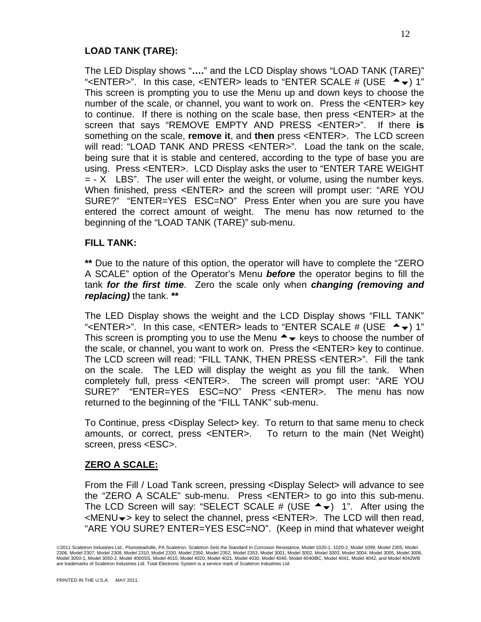#### **LOAD TANK (TARE):**

The LED Display shows "**….**" and the LCD Display shows "LOAD TANK (TARE)" "<ENTER>". In this case, <ENTER> leads to "ENTER SCALE # (USE  $\triangleq$  ) 1" This screen is prompting you to use the Menu up and down keys to choose the number of the scale, or channel, you want to work on. Press the <ENTER> key to continue. If there is nothing on the scale base, then press <ENTER> at the screen that says "REMOVE EMPTY AND PRESS <ENTER>". If there **is** something on the scale, **remove it**, and **then** press <ENTER>. The LCD screen will read: "LOAD TANK AND PRESS <ENTER>". Load the tank on the scale, being sure that it is stable and centered, according to the type of base you are using. Press <ENTER>. LCD Display asks the user to "ENTER TARE WEIGHT  $=$  - X LBS". The user will enter the weight, or volume, using the number keys. When finished, press <ENTER> and the screen will prompt user: "ARE YOU SURE?" "ENTER=YES ESC=NO" Press Enter when you are sure you have entered the correct amount of weight. The menu has now returned to the beginning of the "LOAD TANK (TARE)" sub-menu.

#### **FILL TANK:**

**\*\*** Due to the nature of this option, the operator will have to complete the "ZERO A SCALE" option of the Operator's Menu *before* the operator begins to fill the tank *for the first time*. Zero the scale only when *changing (removing and replacing)* the tank. **\*\***

The LED Display shows the weight and the LCD Display shows "FILL TANK" "<ENTER>". In this case, <ENTER> leads to "ENTER SCALE # (USE  $\triangleq$   $\blacktriangleright$ ) 1" This screen is prompting you to use the Menu  $\rightarrow \bullet$  keys to choose the number of the scale, or channel, you want to work on. Press the <ENTER> key to continue. The LCD screen will read: "FILL TANK, THEN PRESS <ENTER>". Fill the tank on the scale. The LED will display the weight as you fill the tank. When completely full, press <ENTER>. The screen will prompt user: "ARE YOU SURE?" "ENTER=YES ESC=NO" Press <ENTER>. The menu has now returned to the beginning of the "FILL TANK" sub-menu.

To Continue, press <Display Select> key. To return to that same menu to check amounts, or correct, press <ENTER>. To return to the main (Net Weight) screen, press <ESC>.

#### **ZERO A SCALE:**

From the Fill / Load Tank screen, pressing <Display Select> will advance to see the "ZERO A SCALE" sub-menu. Press <ENTER> to go into this sub-menu. The LCD Screen will say: "SELECT SCALE # (USE  $\rightarrow \rightarrow$ ) 1". After using the  $\leq MENU\rightarrow\$  key to select the channel, press  $\leq ENTER$ . The LCD will then read, "ARE YOU SURE? ENTER=YES ESC=NO". (Keep in mind that whatever weight

<sup>©</sup>2011 Scaletron Industries Ltd., Plumsteadville, PA Scaletron, Scaletron Sets the Standard In Corrosion Resistance, Model 1020-1, 1020-2, Model 1099, Model 2305, Model 2306, Model 2307, Model 2308, Model 2310, Model 2330, Model 2350, Model 2353, Model 2001, Model 3002, Model 3003, Model 3004, Model 3005, Model 3006, Model 3006, Model 3006,<br>Model 3050-1, Model 3050-2, Model 4000SS, Model are trademarks of Scaletron Industries Ltd. Total Electronic System is a service mark of Scaletron Industries Ltd.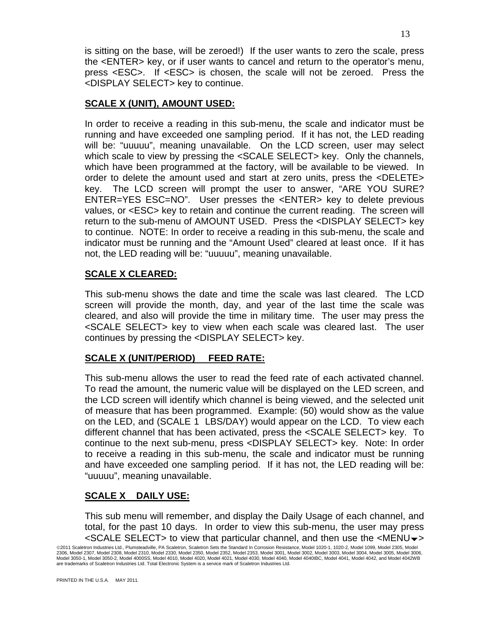is sitting on the base, will be zeroed!) If the user wants to zero the scale, press the <ENTER> key, or if user wants to cancel and return to the operator's menu, press <ESC>. If <ESC> is chosen, the scale will not be zeroed. Press the <DISPLAY SELECT> key to continue.

#### **SCALE X (UNIT), AMOUNT USED:**

In order to receive a reading in this sub-menu, the scale and indicator must be running and have exceeded one sampling period. If it has not, the LED reading will be: "uuuuu", meaning unavailable. On the LCD screen, user may select which scale to view by pressing the <SCALE SELECT> key. Only the channels, which have been programmed at the factory, will be available to be viewed. In order to delete the amount used and start at zero units, press the <DELETE> key. The LCD screen will prompt the user to answer, "ARE YOU SURE? ENTER=YES ESC=NO". User presses the <ENTER> key to delete previous values, or <ESC> key to retain and continue the current reading. The screen will return to the sub-menu of AMOUNT USED. Press the <DISPLAY SELECT> key to continue. NOTE: In order to receive a reading in this sub-menu, the scale and indicator must be running and the "Amount Used" cleared at least once. If it has not, the LED reading will be: "uuuuu", meaning unavailable.

#### **SCALE X CLEARED:**

This sub-menu shows the date and time the scale was last cleared. The LCD screen will provide the month, day, and year of the last time the scale was cleared, and also will provide the time in military time. The user may press the <SCALE SELECT> key to view when each scale was cleared last. The user continues by pressing the <DISPLAY SELECT> key.

### **SCALE X (UNIT/PERIOD) FEED RATE:**

This sub-menu allows the user to read the feed rate of each activated channel. To read the amount, the numeric value will be displayed on the LED screen, and the LCD screen will identify which channel is being viewed, and the selected unit of measure that has been programmed. Example: (50) would show as the value on the LED, and (SCALE 1 LBS/DAY) would appear on the LCD. To view each different channel that has been activated, press the <SCALE SELECT> key. To continue to the next sub-menu, press <DISPLAY SELECT> key. Note: In order to receive a reading in this sub-menu, the scale and indicator must be running and have exceeded one sampling period. If it has not, the LED reading will be: "uuuuu", meaning unavailable.

#### **SCALE X DAILY USE:**

This sub menu will remember, and display the Daily Usage of each channel, and total, for the past 10 days. In order to view this sub-menu, the user may press  $\leq$ SCALE SELECT $>$  to view that particular channel, and then use the  $\leq$ MENU $\rightarrow$ 

<sup>©</sup>2011 Scaletron Industries Ltd., Plumsteadville, PA Scaletron, Scaletron Sets the Standard In Corrosion Resistance, Model 1020-1, 1020-2, Model 1099, Model 2305, Model 2306, Model 2307, Model 2308, Model 2310, Model 2330, Model 2350, Model 2353, Model 2001, Model 3002, Model 3003, Model 3004, Model 3005, Model 3006, Model 3006, Model 3006,<br>Model 3050-1, Model 3050-2, Model 4000SS, Model are trademarks of Scaletron Industries Ltd. Total Electronic System is a service mark of Scaletron Industries Ltd.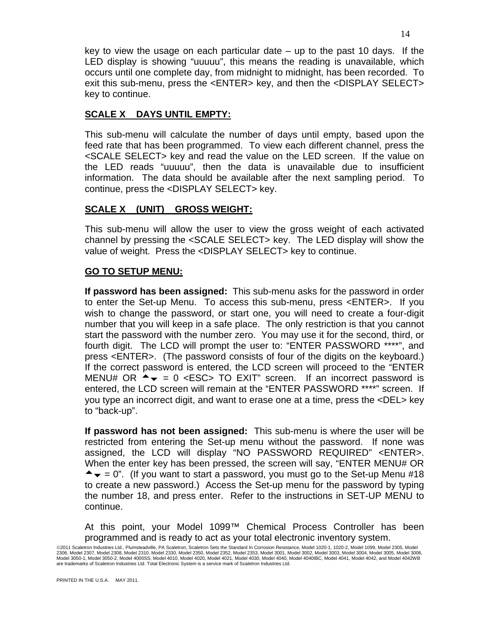key to view the usage on each particular date – up to the past 10 days. If the LED display is showing "uuuuu", this means the reading is unavailable, which occurs until one complete day, from midnight to midnight, has been recorded. To exit this sub-menu, press the <ENTER> key, and then the <DISPLAY SELECT> key to continue.

#### **SCALE X DAYS UNTIL EMPTY:**

This sub-menu will calculate the number of days until empty, based upon the feed rate that has been programmed. To view each different channel, press the <SCALE SELECT> key and read the value on the LED screen. If the value on the LED reads "uuuuu", then the data is unavailable due to insufficient information. The data should be available after the next sampling period. To continue, press the <DISPLAY SELECT> key.

#### **SCALE X (UNIT) GROSS WEIGHT:**

This sub-menu will allow the user to view the gross weight of each activated channel by pressing the <SCALE SELECT> key. The LED display will show the value of weight. Press the <DISPLAY SELECT> key to continue.

#### **GO TO SETUP MENU:**

**If password has been assigned:** This sub-menu asks for the password in order to enter the Set-up Menu. To access this sub-menu, press <ENTER>. If you wish to change the password, or start one, you will need to create a four-digit number that you will keep in a safe place. The only restriction is that you cannot start the password with the number zero. You may use it for the second, third, or fourth digit. The LCD will prompt the user to: "ENTER PASSWORD \*\*\*\*", and press <ENTER>. (The password consists of four of the digits on the keyboard.) If the correct password is entered, the LCD screen will proceed to the "ENTER MENU# OR  $\rightarrow \bullet = 0$  <ESC> TO EXIT" screen. If an incorrect password is entered, the LCD screen will remain at the "ENTER PASSWORD \*\*\*\*" screen. If you type an incorrect digit, and want to erase one at a time, press the <DEL> key to "back-up".

**If password has not been assigned:** This sub-menu is where the user will be restricted from entering the Set-up menu without the password. If none was assigned, the LCD will display "NO PASSWORD REQUIRED" <ENTER>. When the enter key has been pressed, the screen will say, "ENTER MENU# OR  $\rightarrow \bullet = 0$ ". (If you want to start a password, you must go to the Set-up Menu #18 to create a new password.) Access the Set-up menu for the password by typing the number 18, and press enter. Refer to the instructions in SET-UP MENU to continue.

At this point, your Model 1099™ Chemical Process Controller has been programmed and is ready to act as your total electronic inventory system.

<sup>©2011</sup> Scaletron Industries Ltd., Plumsteadville, PA Scaletron, Scaletron Sets the Standard In Corrosion Resistance, Model 1020-1, 1020-2, Model 1099, Model 2305, Model 2306, Model 2307, Model 2308, Model 2310, Model 2330, Model 2350, Model 2353, Model 2001, Model 3002, Model 3003, Model 3004, Model 3005, Model 3006, Model 3006, Model 3006,<br>Model 3050-1, Model 3050-2, Model 4000SS, Model are trademarks of Scaletron Industries Ltd. Total Electronic System is a service mark of Scaletron Industries Ltd.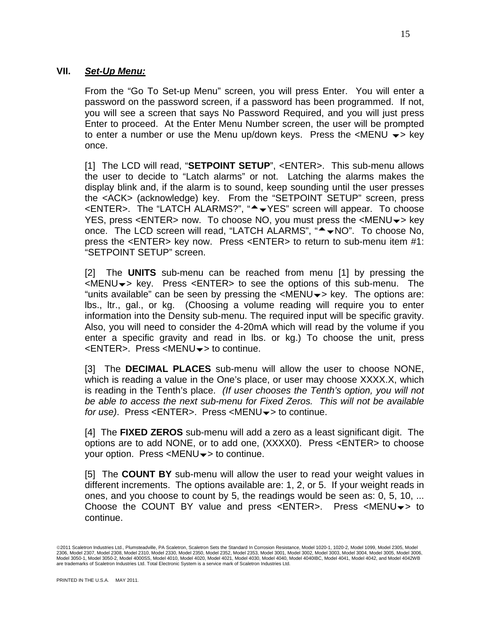#### **VII.** *Set-Up Menu:*

From the "Go To Set-up Menu" screen, you will press Enter. You will enter a password on the password screen, if a password has been programmed. If not, you will see a screen that says No Password Required, and you will just press Enter to proceed. At the Enter Menu Number screen, the user will be prompted to enter a number or use the Menu up/down keys. Press the  $\leq MENU \leq k$ ey once.

[1] The LCD will read, "**SETPOINT SETUP**", <ENTER>. This sub-menu allows the user to decide to "Latch alarms" or not. Latching the alarms makes the display blink and, if the alarm is to sound, keep sounding until the user presses the <ACK> (acknowledge) key. From the "SETPOINT SETUP" screen, press <ENTER>. The "LATCH ALARMS?", "<sup>▲</sup> YES" screen will appear. To choose YES, press <ENTER> now. To choose NO, you must press the <MENU $\rightarrow$  key once. The LCD screen will read, "LATCH ALARMS", " $\rightarrow$  NO". To choose No, press the <ENTER> key now. Press <ENTER> to return to sub-menu item #1: "SETPOINT SETUP" screen.

[2] The **UNITS** sub-menu can be reached from menu [1] by pressing the  $\leq MENU \rightarrow \text{key}$ . Press  $\leq ENTER$  to see the options of this sub-menu. The "units available" can be seen by pressing the  $\leq MENU \rightarrow \leq K$ ey. The options are: lbs., ltr., gal., or kg. (Choosing a volume reading will require you to enter information into the Density sub-menu. The required input will be specific gravity. Also, you will need to consider the 4-20mA which will read by the volume if you enter a specific gravity and read in lbs. or kg.) To choose the unit, press  $\leq$ ENTER>. Press  $\leq$ MENU $\rightarrow$  to continue.

[3] The **DECIMAL PLACES** sub-menu will allow the user to choose NONE, which is reading a value in the One's place, or user may choose XXXX.X, which is reading in the Tenth's place. *(If user chooses the Tenth's option, you will not be able to access the next sub-menu for Fixed Zeros. This will not be available for use).* Press <ENTER>. Press <MENU $\rightarrow$  to continue.

[4] The **FIXED ZEROS** sub-menu will add a zero as a least significant digit. The options are to add NONE, or to add one, (XXXX0). Press <ENTER> to choose your option. Press  $\leq MENU \rightarrow \leq t$  to continue.

[5] The **COUNT BY** sub-menu will allow the user to read your weight values in different increments. The options available are: 1, 2, or 5. If your weight reads in ones, and you choose to count by 5, the readings would be seen as: 0, 5, 10, ... Choose the COUNT BY value and press  $\leq$  ENTER>. Press  $\leq$  MENU $\blacktriangleright$  to continue.

<sup>©</sup>2011 Scaletron Industries Ltd., Plumsteadville, PA Scaletron, Scaletron Sets the Standard In Corrosion Resistance, Model 1020-1, 1020-2, Model 1099, Model 2305, Model 2306, Model 2307, Model 2308, Model 2310, Model 2330, Model 2350, Model 2353, Model 2001, Model 3002, Model 3003, Model 3004, Model 3005, Model 3006, Model 3006, Model 3006,<br>Model 3050-1, Model 3050-2, Model 4000SS, Model are trademarks of Scaletron Industries Ltd. Total Electronic System is a service mark of Scaletron Industries Ltd.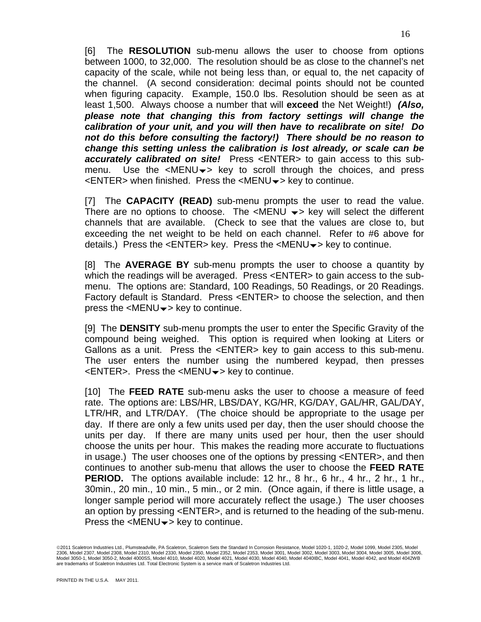[6] The **RESOLUTION** sub-menu allows the user to choose from options between 1000, to 32,000. The resolution should be as close to the channel's net capacity of the scale, while not being less than, or equal to, the net capacity of the channel. (A second consideration: decimal points should not be counted when figuring capacity. Example, 150.0 lbs. Resolution should be seen as at least 1,500. Always choose a number that will **exceed** the Net Weight!) *(Also, please note that changing this from factory settings will change the calibration of your unit, and you will then have to recalibrate on site! Do not do this before consulting the factory!) There should be no reason to change this setting unless the calibration is lost already, or scale can be accurately calibrated on site!* Press <ENTER> to gain access to this submenu. Use the  $\leq MENU \rightarrow \leq$  key to scroll through the choices, and press  $\leq$ ENTER> when finished. Press the  $\leq$ MENU $\rightarrow$  key to continue.

[7] The **CAPACITY (READ)** sub-menu prompts the user to read the value. There are no options to choose. The  $\leq MENU \leq k$ ey will select the different channels that are available. (Check to see that the values are close to, but exceeding the net weight to be held on each channel. Refer to #6 above for details.) Press the  $\leq$ ENTER> key. Press the  $\leq$ MENU $\rightarrow$  key to continue.

[8] The **AVERAGE BY** sub-menu prompts the user to choose a quantity by which the readings will be averaged. Press <ENTER> to gain access to the submenu. The options are: Standard, 100 Readings, 50 Readings, or 20 Readings. Factory default is Standard. Press <ENTER> to choose the selection, and then press the  $\leq MENU \rightarrow \leq K$ ey to continue.

[9] The **DENSITY** sub-menu prompts the user to enter the Specific Gravity of the compound being weighed. This option is required when looking at Liters or Gallons as a unit. Press the <ENTER> key to gain access to this sub-menu. The user enters the number using the numbered keypad, then presses  $\leq$ ENTER>. Press the  $\leq$ MENU $\rightarrow$  key to continue.

[10] The **FEED RATE** sub-menu asks the user to choose a measure of feed rate. The options are: LBS/HR, LBS/DAY, KG/HR, KG/DAY, GAL/HR, GAL/DAY, LTR/HR, and LTR/DAY. (The choice should be appropriate to the usage per day. If there are only a few units used per day, then the user should choose the units per day. If there are many units used per hour, then the user should choose the units per hour. This makes the reading more accurate to fluctuations in usage.) The user chooses one of the options by pressing <ENTER>, and then continues to another sub-menu that allows the user to choose the **FEED RATE PERIOD.** The options available include: 12 hr., 8 hr., 6 hr., 4 hr., 2 hr., 1 hr., 30min., 20 min., 10 min., 5 min., or 2 min. (Once again, if there is little usage, a longer sample period will more accurately reflect the usage.) The user chooses an option by pressing <ENTER>, and is returned to the heading of the sub-menu. Press the  $\leq MENU \rightarrow \leq k$ ey to continue.

<sup>©2011</sup> Scaletron Industries Ltd., Plumsteadville, PA Scaletron, Scaletron Sets the Standard In Corrosion Resistance, Model 1020-1, 1020-2, Model 1099, Model 2305, Model 2306, Model 2307, Model 2308, Model 2310, Model 2330, Model 2350, Model 2353, Model 2001, Model 3002, Model 3003, Model 3004, Model 3005, Model 3006, Model 3006, Model 3006,<br>Model 3050-1, Model 3050-2, Model 4000SS, Model are trademarks of Scaletron Industries Ltd. Total Electronic System is a service mark of Scaletron Industries Ltd.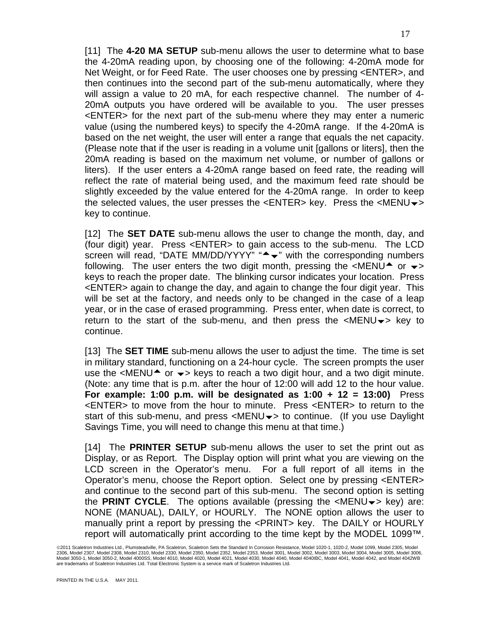[11] The **4-20 MA SETUP** sub-menu allows the user to determine what to base the 4-20mA reading upon, by choosing one of the following: 4-20mA mode for Net Weight, or for Feed Rate. The user chooses one by pressing <ENTER>, and then continues into the second part of the sub-menu automatically, where they will assign a value to 20 mA, for each respective channel. The number of 4- 20mA outputs you have ordered will be available to you. The user presses <ENTER> for the next part of the sub-menu where they may enter a numeric value (using the numbered keys) to specify the 4-20mA range. If the 4-20mA is based on the net weight, the user will enter a range that equals the net capacity. (Please note that if the user is reading in a volume unit [gallons or liters], then the 20mA reading is based on the maximum net volume, or number of gallons or liters). If the user enters a 4-20mA range based on feed rate, the reading will reflect the rate of material being used, and the maximum feed rate should be slightly exceeded by the value entered for the 4-20mA range. In order to keep the selected values, the user presses the  $\leq$ ENTER> key. Press the  $\leq$ MENU $\rightarrow$ key to continue.

[12] The **SET DATE** sub-menu allows the user to change the month, day, and (four digit) year. Press <ENTER> to gain access to the sub-menu. The LCD screen will read, "DATE MM/DD/YYYY" " $\rightarrow \cdot$ " with the corresponding numbers following. The user enters the two digit month, pressing the  $\leq MENU^*$  or  $\leq$ keys to reach the proper date. The blinking cursor indicates your location. Press <ENTER> again to change the day, and again to change the four digit year. This will be set at the factory, and needs only to be changed in the case of a leap year, or in the case of erased programming. Press enter, when date is correct, to return to the start of the sub-menu, and then press the  $\leq MENU \rightarrow \leq Kev$  to continue.

[13] The **SET TIME** sub-menu allows the user to adjust the time. The time is set in military standard, functioning on a 24-hour cycle. The screen prompts the user use the  $\leq MENU^*$  or  $\leq \leq$  keys to reach a two digit hour, and a two digit minute. (Note: any time that is p.m. after the hour of 12:00 will add 12 to the hour value. **For example: 1:00 p.m. will be designated as 1:00 + 12 = 13:00)** Press <ENTER> to move from the hour to minute. Press <ENTER> to return to the start of this sub-menu, and press  $\langle MENU \rangle$  to continue. (If you use Daylight Savings Time, you will need to change this menu at that time.)

[14] The **PRINTER SETUP** sub-menu allows the user to set the print out as Display, or as Report. The Display option will print what you are viewing on the LCD screen in the Operator's menu. For a full report of all items in the Operator's menu, choose the Report option. Select one by pressing <ENTER> and continue to the second part of this sub-menu. The second option is setting the **PRINT CYCLE**. The options available (pressing the  $\leq MENU \leq \leq \leq K$  key) are: NONE (MANUAL), DAILY, or HOURLY. The NONE option allows the user to manually print a report by pressing the <PRINT> key. The DAILY or HOURLY report will automatically print according to the time kept by the MODEL 1099™.

<sup>©2011</sup> Scaletron Industries Ltd., Plumsteadville, PA Scaletron, Scaletron Sets the Standard In Corrosion Resistance, Model 1020-1, 1020-2, Model 1099, Model 2305, Model 2306, Model 2307, Model 2308, Model 2310, Model 2330, Model 2350, Model 2353, Model 2001, Model 3002, Model 3003, Model 3004, Model 3005, Model 3006, Model 3006, Model 3006,<br>Model 3050-1, Model 3050-2, Model 4000SS, Model are trademarks of Scaletron Industries Ltd. Total Electronic System is a service mark of Scaletron Industries Ltd.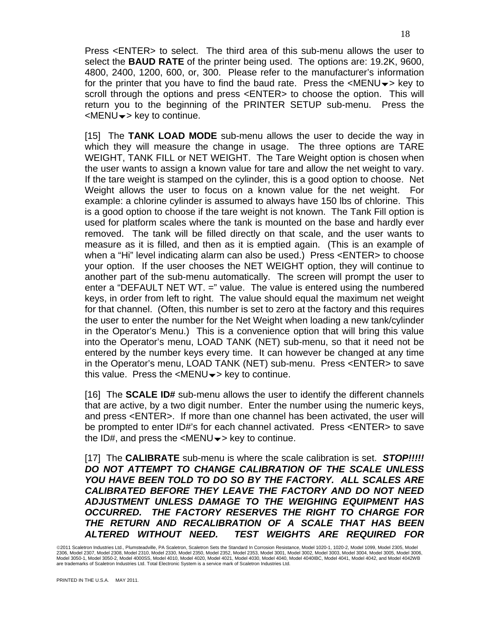Press <ENTER> to select. The third area of this sub-menu allows the user to select the **BAUD RATE** of the printer being used. The options are: 19.2K, 9600, 4800, 2400, 1200, 600, or, 300. Please refer to the manufacturer's information for the printer that you have to find the baud rate. Press the  $\leq MENU \rightarrow \leq Kev$  to scroll through the options and press <ENTER> to choose the option. This will return you to the beginning of the PRINTER SETUP sub-menu. Press the  $\leq MENU \rightarrow \leq Kev$  to continue.

[15] The **TANK LOAD MODE** sub-menu allows the user to decide the way in which they will measure the change in usage. The three options are TARE WEIGHT, TANK FILL or NET WEIGHT. The Tare Weight option is chosen when the user wants to assign a known value for tare and allow the net weight to vary. If the tare weight is stamped on the cylinder, this is a good option to choose. Net Weight allows the user to focus on a known value for the net weight. For example: a chlorine cylinder is assumed to always have 150 lbs of chlorine. This is a good option to choose if the tare weight is not known. The Tank Fill option is used for platform scales where the tank is mounted on the base and hardly ever removed. The tank will be filled directly on that scale, and the user wants to measure as it is filled, and then as it is emptied again. (This is an example of when a "Hi" level indicating alarm can also be used.) Press <ENTER> to choose your option. If the user chooses the NET WEIGHT option, they will continue to another part of the sub-menu automatically. The screen will prompt the user to enter a "DEFAULT NET WT. =" value. The value is entered using the numbered keys, in order from left to right. The value should equal the maximum net weight for that channel. (Often, this number is set to zero at the factory and this requires the user to enter the number for the Net Weight when loading a new tank/cylinder in the Operator's Menu.) This is a convenience option that will bring this value into the Operator's menu, LOAD TANK (NET) sub-menu, so that it need not be entered by the number keys every time. It can however be changed at any time in the Operator's menu, LOAD TANK (NET) sub-menu. Press <ENTER> to save this value. Press the  $\leq MENU \rightarrow \leq k$ ey to continue.

[16] The **SCALE ID#** sub-menu allows the user to identify the different channels that are active, by a two digit number. Enter the number using the numeric keys, and press <ENTER>. If more than one channel has been activated, the user will be prompted to enter ID#'s for each channel activated. Press <ENTER> to save the ID#, and press the  $\leq MENU \rightarrow \leq k$ ey to continue.

[17] The **CALIBRATE** sub-menu is where the scale calibration is set. *STOP!!!!! DO NOT ATTEMPT TO CHANGE CALIBRATION OF THE SCALE UNLESS YOU HAVE BEEN TOLD TO DO SO BY THE FACTORY. ALL SCALES ARE CALIBRATED BEFORE THEY LEAVE THE FACTORY AND DO NOT NEED ADJUSTMENT UNLESS DAMAGE TO THE WEIGHING EQUIPMENT HAS OCCURRED. THE FACTORY RESERVES THE RIGHT TO CHARGE FOR THE RETURN AND RECALIBRATION OF A SCALE THAT HAS BEEN ALTERED WITHOUT NEED. TEST WEIGHTS ARE REQUIRED FOR* 

<sup>©</sup>2011 Scaletron Industries Ltd., Plumsteadville, PA Scaletron, Scaletron Sets the Standard In Corrosion Resistance, Model 1020-1, 1020-2, Model 1099, Model 2305, Model 2306, Model 2307, Model 2308, Model 2310, Model 2330, Model 2350, Model 2353, Model 2001, Model 3002, Model 3003, Model 3004, Model 3005, Model 3006, Model 3006, Model 3006,<br>Model 3050-1, Model 3050-2, Model 4000SS, Model are trademarks of Scaletron Industries Ltd. Total Electronic System is a service mark of Scaletron Industries Ltd.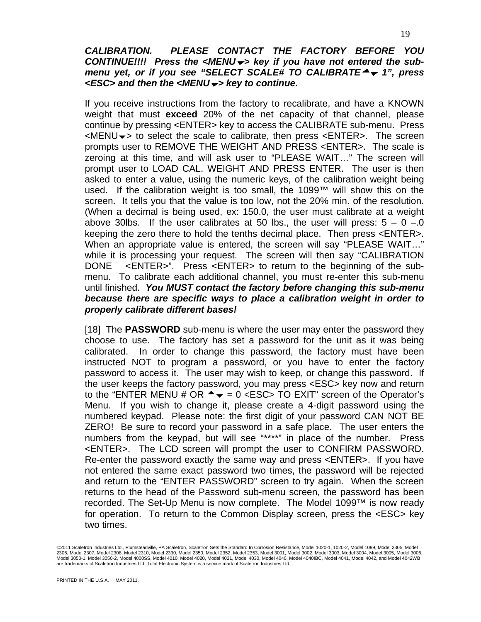#### *CALIBRATION. PLEASE CONTACT THE FACTORY BEFORE YOU CONTINUE!!!! Press the <MENU*b*> key if you have not entered the submenu yet, or if you see "SELECT SCALE# TO CALIBRATE*<sup>4</sup>  $\bullet$  1", press *<ESC> and then the <MENU*b*> key to continue.*

If you receive instructions from the factory to recalibrate, and have a KNOWN weight that must **exceed** 20% of the net capacity of that channel, please continue by pressing <ENTER> key to access the CALIBRATE sub-menu. Press  $\leq$ MENU $\rightarrow$  to select the scale to calibrate, then press  $\leq$ ENTER>. The screen prompts user to REMOVE THE WEIGHT AND PRESS <ENTER>. The scale is zeroing at this time, and will ask user to "PLEASE WAIT…" The screen will prompt user to LOAD CAL. WEIGHT AND PRESS ENTER. The user is then asked to enter a value, using the numeric keys, of the calibration weight being used. If the calibration weight is too small, the 1099™ will show this on the screen. It tells you that the value is too low, not the 20% min. of the resolution. (When a decimal is being used, ex: 150.0, the user must calibrate at a weight above 30lbs. If the user calibrates at 50 lbs., the user will press:  $5 - 0 - 0$ keeping the zero there to hold the tenths decimal place. Then press <ENTER>. When an appropriate value is entered, the screen will say "PLEASE WAIT…" while it is processing your request. The screen will then say "CALIBRATION DONE <ENTER>". Press <ENTER> to return to the beginning of the submenu. To calibrate each additional channel, you must re-enter this sub-menu until finished. *You MUST contact the factory before changing this sub-menu because there are specific ways to place a calibration weight in order to properly calibrate different bases!*

[18] The **PASSWORD** sub-menu is where the user may enter the password they choose to use. The factory has set a password for the unit as it was being calibrated. In order to change this password, the factory must have been instructed NOT to program a password, or you have to enter the factory password to access it. The user may wish to keep, or change this password. If the user keeps the factory password, you may press <ESC> key now and return to the "ENTER MENU # OR  $\rightarrow \infty$  = 0 <ESC> TO EXIT" screen of the Operator's Menu. If you wish to change it, please create a 4-digit password using the numbered keypad. Please note: the first digit of your password CAN NOT BE ZERO! Be sure to record your password in a safe place. The user enters the numbers from the keypad, but will see "\*\*\*\*" in place of the number. Press <ENTER>. The LCD screen will prompt the user to CONFIRM PASSWORD. Re-enter the password exactly the same way and press <ENTER>. If you have not entered the same exact password two times, the password will be rejected and return to the "ENTER PASSWORD" screen to try again. When the screen returns to the head of the Password sub-menu screen, the password has been recorded. The Set-Up Menu is now complete. The Model 1099™ is now ready for operation. To return to the Common Display screen, press the <ESC> key two times.

<sup>©</sup>2011 Scaletron Industries Ltd., Plumsteadville, PA Scaletron, Scaletron Sets the Standard In Corrosion Resistance, Model 1020-1, 1020-2, Model 1099, Model 2305, Model 2306, Model 2307, Model 2308, Model 2310, Model 2330, Model 2350, Model 2353, Model 2001, Model 3002, Model 3003, Model 3004, Model 3005, Model 3006, Model 3006, Model 3006,<br>Model 3050-1, Model 3050-2, Model 4000SS, Model are trademarks of Scaletron Industries Ltd. Total Electronic System is a service mark of Scaletron Industries Ltd.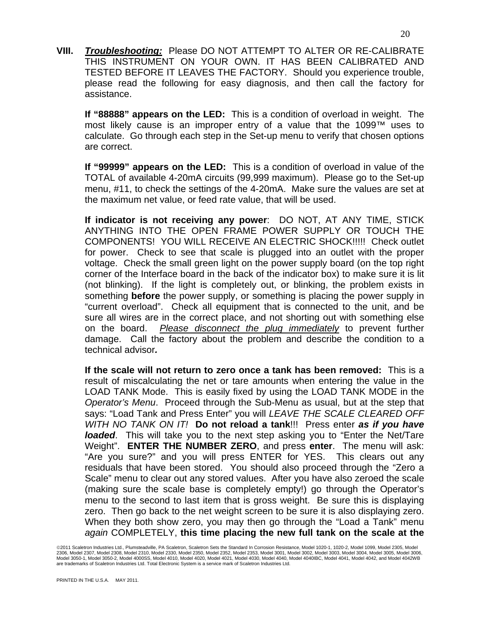**VIII.** *Troubleshooting:* Please DO NOT ATTEMPT TO ALTER OR RE-CALIBRATE THIS INSTRUMENT ON YOUR OWN. IT HAS BEEN CALIBRATED AND TESTED BEFORE IT LEAVES THE FACTORY. Should you experience trouble, please read the following for easy diagnosis, and then call the factory for assistance.

**If "88888" appears on the LED:** This is a condition of overload in weight. The most likely cause is an improper entry of a value that the 1099™ uses to calculate. Go through each step in the Set-up menu to verify that chosen options are correct.

**If "99999" appears on the LED:** This is a condition of overload in value of the TOTAL of available 4-20mA circuits (99,999 maximum). Please go to the Set-up menu, #11, to check the settings of the 4-20mA. Make sure the values are set at the maximum net value, or feed rate value, that will be used.

**If indicator is not receiving any power**: DO NOT, AT ANY TIME, STICK ANYTHING INTO THE OPEN FRAME POWER SUPPLY OR TOUCH THE COMPONENTS! YOU WILL RECEIVE AN ELECTRIC SHOCK!!!!! Check outlet for power. Check to see that scale is plugged into an outlet with the proper voltage. Check the small green light on the power supply board (on the top right corner of the Interface board in the back of the indicator box) to make sure it is lit (not blinking). If the light is completely out, or blinking, the problem exists in something **before** the power supply, or something is placing the power supply in "current overload". Check all equipment that is connected to the unit, and be sure all wires are in the correct place, and not shorting out with something else on the board. *Please disconnect the plug immediately* to prevent further damage. Call the factory about the problem and describe the condition to a technical advisor*.* 

**If the scale will not return to zero once a tank has been removed:** This is a result of miscalculating the net or tare amounts when entering the value in the LOAD TANK Mode. This is easily fixed by using the LOAD TANK MODE in the *Operator's Menu*. Proceed through the Sub-Menu as usual, but at the step that says: "Load Tank and Press Enter" you will *LEAVE THE SCALE CLEARED OFF WITH NO TANK ON IT!* **Do not reload a tank**!!! Press enter *as if you have loaded*. This will take you to the next step asking you to "Enter the Net/Tare Weight". **ENTER THE NUMBER ZERO**, and press **enter**. The menu will ask: "Are you sure?" and you will press ENTER for YES. This clears out any residuals that have been stored. You should also proceed through the "Zero a Scale" menu to clear out any stored values. After you have also zeroed the scale (making sure the scale base is completely empty!) go through the Operator's menu to the second to last item that is gross weight. Be sure this is displaying zero. Then go back to the net weight screen to be sure it is also displaying zero. When they both show zero, you may then go through the "Load a Tank" menu *again* COMPLETELY, **this time placing the new full tank on the scale at the** 

<sup>©2011</sup> Scaletron Industries Ltd., Plumsteadville, PA Scaletron, Scaletron Sets the Standard In Corrosion Resistance, Model 1020-1, 1020-2, Model 1099, Model 2305, Model 2306, Model 2307, Model 2308, Model 2310, Model 2330, Model 2350, Model 2353, Model 2001, Model 3002, Model 3003, Model 3004, Model 3005, Model 3006, Model 3006, Model 3006,<br>Model 3050-1, Model 3050-2, Model 4000SS, Model are trademarks of Scaletron Industries Ltd. Total Electronic System is a service mark of Scaletron Industries Ltd.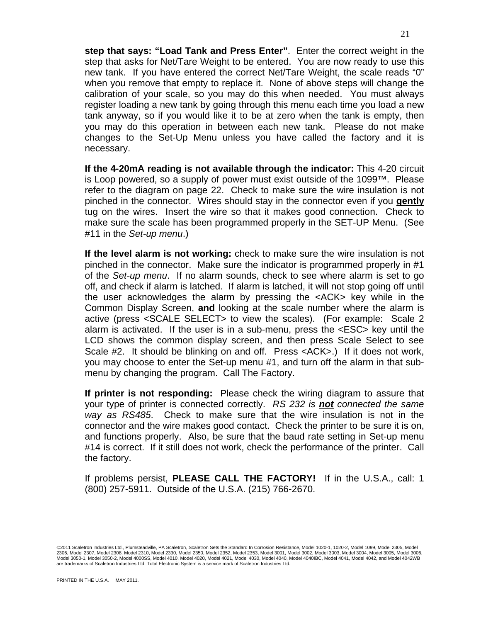**step that says: "Load Tank and Press Enter"**. Enter the correct weight in the step that asks for Net/Tare Weight to be entered. You are now ready to use this new tank. If you have entered the correct Net/Tare Weight, the scale reads "0" when you remove that empty to replace it. None of above steps will change the calibration of your scale, so you may do this when needed. You must always register loading a new tank by going through this menu each time you load a new tank anyway, so if you would like it to be at zero when the tank is empty, then you may do this operation in between each new tank. Please do not make changes to the Set-Up Menu unless you have called the factory and it is necessary.

**If the 4-20mA reading is not available through the indicator:** This 4-20 circuit is Loop powered, so a supply of power must exist outside of the 1099™. Please refer to the diagram on page 22. Check to make sure the wire insulation is not pinched in the connector. Wires should stay in the connector even if you **gently** tug on the wires. Insert the wire so that it makes good connection. Check to make sure the scale has been programmed properly in the SET-UP Menu. (See #11 in the *Set-up menu*.)

**If the level alarm is not working:** check to make sure the wire insulation is not pinched in the connector. Make sure the indicator is programmed properly in #1 of the *Set-up menu*. If no alarm sounds, check to see where alarm is set to go off, and check if alarm is latched. If alarm is latched, it will not stop going off until the user acknowledges the alarm by pressing the <ACK> key while in the Common Display Screen, **and** looking at the scale number where the alarm is active (press <SCALE SELECT> to view the scales). (For example: Scale 2 alarm is activated. If the user is in a sub-menu, press the <ESC> key until the LCD shows the common display screen, and then press Scale Select to see Scale #2. It should be blinking on and off. Press <ACK>.) If it does not work, you may choose to enter the Set-up menu #1, and turn off the alarm in that submenu by changing the program. Call The Factory.

**If printer is not responding:** Please check the wiring diagram to assure that your type of printer is connected correctly. *RS 232 is not connected the same way as RS485*. Check to make sure that the wire insulation is not in the connector and the wire makes good contact. Check the printer to be sure it is on, and functions properly. Also, be sure that the baud rate setting in Set-up menu #14 is correct. If it still does not work, check the performance of the printer. Call the factory.

If problems persist, **PLEASE CALL THE FACTORY!** If in the U.S.A., call: 1 (800) 257-5911. Outside of the U.S.A. (215) 766-2670.

<sup>©2011</sup> Scaletron Industries Ltd., Plumsteadville, PA Scaletron, Scaletron Sets the Standard In Corrosion Resistance, Model 1020-1, 1020-2, Model 1099, Model 2305, Model 2306, Model 2307, Model 2308, Model 2310, Model 2330, Model 2350, Model 2353, Model 2001, Model 3002, Model 3003, Model 3004, Model 3005, Model 3006, Model 3006, Model 3006,<br>Model 3050-1, Model 3050-2, Model 4000SS, Model are trademarks of Scaletron Industries Ltd. Total Electronic System is a service mark of Scaletron Industries Ltd.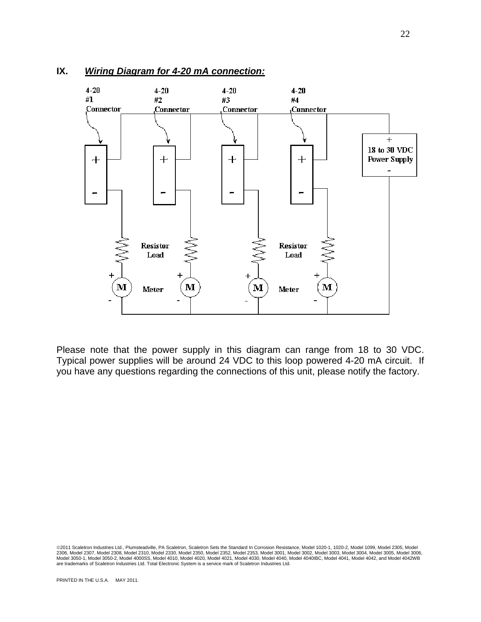

#### **IX.** *Wiring Diagram for 4-20 mA connection:*

Please note that the power supply in this diagram can range from 18 to 30 VDC. Typical power supplies will be around 24 VDC to this loop powered 4-20 mA circuit. If you have any questions regarding the connections of this unit, please notify the factory.